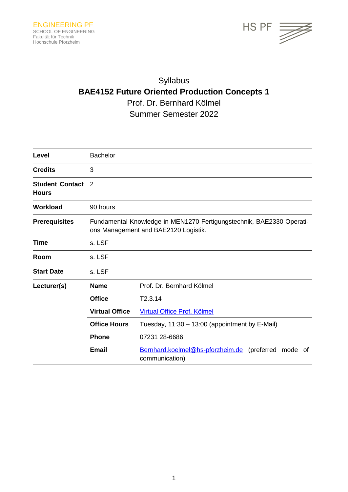

# Syllabus **BAE4152 Future Oriented Production Concepts 1** Prof. Dr. Bernhard Kölmel Summer Semester 2022

| Level                                  | <b>Bachelor</b>                                                                                              |                                                                          |
|----------------------------------------|--------------------------------------------------------------------------------------------------------------|--------------------------------------------------------------------------|
| <b>Credits</b>                         | 3                                                                                                            |                                                                          |
| <b>Student Contact</b><br><b>Hours</b> | 2                                                                                                            |                                                                          |
| <b>Workload</b>                        | 90 hours                                                                                                     |                                                                          |
| <b>Prerequisites</b>                   | Fundamental Knowledge in MEN1270 Fertigungstechnik, BAE2330 Operati-<br>ons Management and BAE2120 Logistik. |                                                                          |
| Time                                   | s. LSF                                                                                                       |                                                                          |
| Room                                   | s. LSF                                                                                                       |                                                                          |
| <b>Start Date</b>                      | s. LSF                                                                                                       |                                                                          |
| Lecturer(s)                            | <b>Name</b>                                                                                                  | Prof. Dr. Bernhard Kölmel                                                |
|                                        | <b>Office</b>                                                                                                | T2.3.14                                                                  |
|                                        | <b>Virtual Office</b>                                                                                        | Virtual Office Prof. Kölmel                                              |
|                                        | <b>Office Hours</b>                                                                                          | Tuesday, 11:30 - 13:00 (appointment by E-Mail)                           |
|                                        | <b>Phone</b>                                                                                                 | 07231 28-6686                                                            |
|                                        | <b>Email</b>                                                                                                 | Bernhard.koelmel@hs-pforzheim.de (preferred mode<br>οf<br>communication) |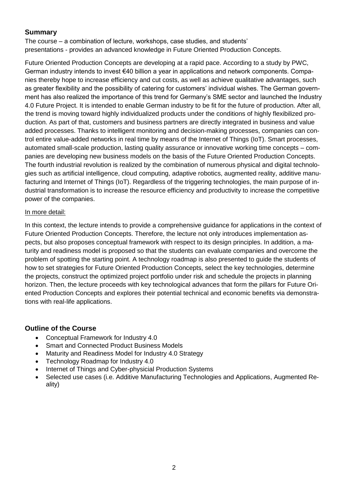# **Summary**

The course – a combination of lecture, workshops, case studies, and students' presentations - provides an advanced knowledge in Future Oriented Production Concepts.

Future Oriented Production Concepts are developing at a rapid pace. According to a study by PWC, German industry intends to invest €40 billion a year in applications and network components. Companies thereby hope to increase efficiency and cut costs, as well as achieve qualitative advantages, such as greater flexibility and the possibility of catering for customers' individual wishes. The German government has also realized the importance of this trend for Germany's SME sector and launched the Industry 4.0 Future Project. It is intended to enable German industry to be fit for the future of production. After all, the trend is moving toward highly individualized products under the conditions of highly flexibilized production. As part of that, customers and business partners are directly integrated in business and value added processes. Thanks to intelligent monitoring and decision-making processes, companies can control entire value-added networks in real time by means of the Internet of Things (IoT). Smart processes, automated small-scale production, lasting quality assurance or innovative working time concepts – companies are developing new business models on the basis of the Future Oriented Production Concepts. The fourth industrial revolution is realized by the combination of numerous physical and digital technologies such as artificial intelligence, cloud computing, adaptive robotics, augmented reality, additive manufacturing and Internet of Things (IoT). Regardless of the triggering technologies, the main purpose of industrial transformation is to increase the resource efficiency and productivity to increase the competitive power of the companies.

#### In more detail:

In this context, the lecture intends to provide a comprehensive guidance for applications in the context of Future Oriented Production Concepts. Therefore, the lecture not only introduces implementation aspects, but also proposes conceptual framework with respect to its design principles. In addition, a maturity and readiness model is proposed so that the students can evaluate companies and overcome the problem of spotting the starting point. A technology roadmap is also presented to guide the students of how to set strategies for Future Oriented Production Concepts, select the key technologies, determine the projects, construct the optimized project portfolio under risk and schedule the projects in planning horizon. Then, the lecture proceeds with key technological advances that form the pillars for Future Oriented Production Concepts and explores their potential technical and economic benefits via demonstrations with real-life applications.

## **Outline of the Course**

- Conceptual Framework for Industry 4.0
- Smart and Connected Product Business Models
- Maturity and Readiness Model for Industry 4.0 Strategy
- Technology Roadmap for Industry 4.0
- Internet of Things and Cyber-physicial Production Systems
- Selected use cases (i.e. Additive Manufacturing Technologies and Applications, Augmented Reality)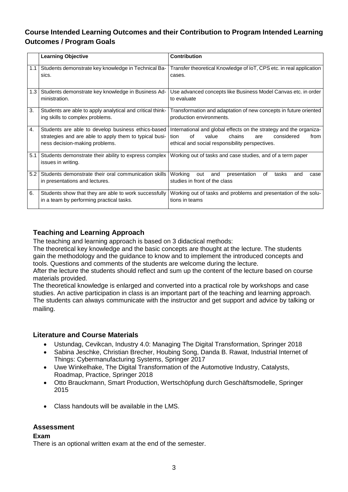# **Course Intended Learning Outcomes and their Contribution to Program Intended Learning Outcomes / Program Goals**

|            | <b>Learning Objective</b>                                                                                                                      | <b>Contribution</b>                                                                                                                                                                 |
|------------|------------------------------------------------------------------------------------------------------------------------------------------------|-------------------------------------------------------------------------------------------------------------------------------------------------------------------------------------|
| 1.1        | Students demonstrate key knowledge in Technical Ba-<br>sics.                                                                                   | Transfer theoretical Knowledge of IoT, CPS etc. in real application<br>cases.                                                                                                       |
| $1.3 \mid$ | Students demonstrate key knowledge in Business Ad-<br>ministration.                                                                            | Use advanced concepts like Business Model Canvas etc. in order<br>to evaluate                                                                                                       |
| 3.         | Students are able to apply analytical and critical think-<br>ing skills to complex problems.                                                   | Transformation and adaptation of new concepts in future oriented<br>production environments.                                                                                        |
| 4.         | Students are able to develop business ethics-based<br>strategies and are able to apply them to typical busi-<br>ness decision-making problems. | International and global effects on the strategy and the organiza-<br>Ωf<br>considered<br>value<br>chains<br>tion<br>from<br>are<br>ethical and social responsibility perspectives. |
| 5.1        | Students demonstrate their ability to express complex<br>issues in writing.                                                                    | Working out of tasks and case studies, and of a term paper                                                                                                                          |
| 5.2        | Students demonstrate their oral communication skills<br>in presentations and lectures.                                                         | Working<br>presentation<br>οf<br>tasks<br>out<br>and<br>and<br>case<br>studies in front of the class                                                                                |
| 6.         | Students show that they are able to work successfully<br>in a team by performing practical tasks.                                              | Working out of tasks and problems and presentation of the solu-<br>tions in teams                                                                                                   |

# **Teaching and Learning Approach**

The teaching and learning approach is based on 3 didactical methods:

The theoretical key knowledge and the basic concepts are thought at the lecture. The students gain the methodology and the guidance to know and to implement the introduced concepts and tools. Questions and comments of the students are welcome during the lecture.

After the lecture the students should reflect and sum up the content of the lecture based on course materials provided.

The theoretical knowledge is enlarged and converted into a practical role by workshops and case studies. An active participation in class is an important part of the teaching and learning approach. The students can always communicate with the instructor and get support and advice by talking or mailing.

## **Literature and Course Materials**

- Ustundag, Cevikcan, Industry 4.0: Managing The Digital Transformation, Springer 2018
- Sabina Jeschke, Christian Brecher, Houbing Song, Danda B. Rawat, Industrial Internet of Things: Cybermanufacturing Systems, Springer 2017
- Uwe Winkelhake, The Digital Transformation of the Automotive Industry, Catalysts, Roadmap, Practice, Springer 2018
- Otto Brauckmann, Smart Production, Wertschöpfung durch Geschäftsmodelle, Springer 2015
- Class handouts will be available in the LMS.

## **Assessment**

#### **Exam**

There is an optional written exam at the end of the semester.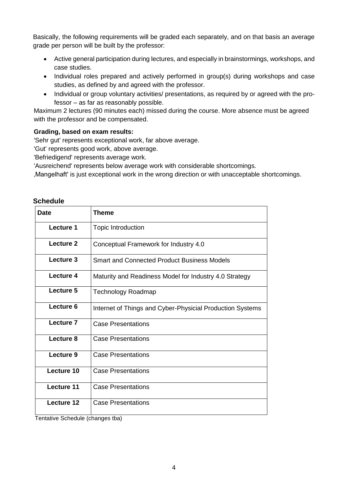Basically, the following requirements will be graded each separately, and on that basis an average grade per person will be built by the professor:

- Active general participation during lectures, and especially in brainstormings, workshops, and case studies.
- Individual roles prepared and actively performed in group(s) during workshops and case studies, as defined by and agreed with the professor.
- Individual or group voluntary activities/ presentations, as required by or agreed with the professor – as far as reasonably possible.

Maximum 2 lectures (90 minutes each) missed during the course. More absence must be agreed with the professor and be compensated.

#### **Grading, based on exam results:**

'Sehr gut' represents exceptional work, far above average.

'Gut' represents good work, above average.

'Befriedigend' represents average work.

'Ausreichend' represents below average work with considerable shortcomings.

'Mangelhaft' is just exceptional work in the wrong direction or with unacceptable shortcomings.

#### **Schedule**

| <b>Date</b> | Theme                                                     |  |
|-------------|-----------------------------------------------------------|--|
| Lecture 1   | Topic Introduction                                        |  |
| Lecture 2   | Conceptual Framework for Industry 4.0                     |  |
| Lecture 3   | Smart and Connected Product Business Models               |  |
| Lecture 4   | Maturity and Readiness Model for Industry 4.0 Strategy    |  |
| Lecture 5   | <b>Technology Roadmap</b>                                 |  |
| Lecture 6   | Internet of Things and Cyber-Physicial Production Systems |  |
| Lecture 7   | <b>Case Presentations</b>                                 |  |
| Lecture 8   | <b>Case Presentations</b>                                 |  |
| Lecture 9   | <b>Case Presentations</b>                                 |  |
| Lecture 10  | <b>Case Presentations</b>                                 |  |
| Lecture 11  | <b>Case Presentations</b>                                 |  |
| Lecture 12  | <b>Case Presentations</b>                                 |  |

Tentative Schedule (changes tba)